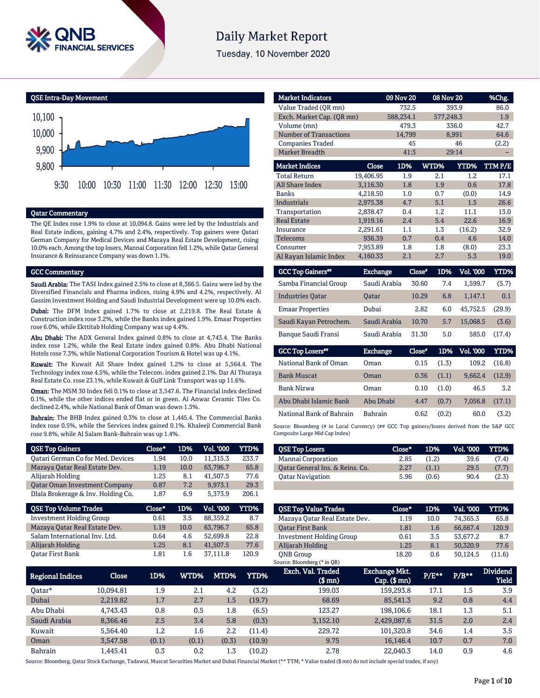

# **Daily Market Report**

Tuesday, 10 November 2020

QSE Intra-Day Movement



#### Qatar Commentary

The QE Index rose 1.9% to close at 10,094.8. Gains were led by the Industrials and Real Estate indices, gaining 4.7% and 2.4%, respectively. Top gainers were Qatari German Company for Medical Devices and Mazaya Real Estate Development, rising 10.0% each. Among the top losers, Mannai Corporation fell 1.2%, while Qatar General Insurance & Reinsurance Company was down 1.1%.

#### GCC Commentary

Saudi Arabia: The TASI Index gained 2.5% to close at 8,366.5. Gains were led by the Diversified Financials and Pharma indices, rising 4.9% and 4.2%, respectively. Al Gassim Investment Holding and Saudi Industrial Development were up 10.0% each.

Dubai: The DFM Index gained 1.7% to close at 2,219.8. The Real Estate & Construction index rose 3.2%, while the Banks index gained 1.9%. Emaar Properties rose 6.0%, while Ekttitab Holding Company was up 4.4%.

Abu Dhabi: The ADX General Index gained 0.8% to close at 4,743.4. The Banks index rose 1.2%, while the Real Estate index gained 0.8%. Abu Dhabi National Hotels rose 7.3%, while National Corporation Tourism & Hotel was up 4.1%.

Kuwait: The Kuwait All Share Index gained 1.2% to close at 5,564.4. The Technology index rose 4.5%, while the Telecom. index gained 2.1%. Dar Al Thuraya Real Estate Co. rose 23.1%, while Kuwait & Gulf Link Transport was up 11.6%.

Oman: The MSM 30 Index fell 0.1% to close at 3,547.6. The Financial index declined 0.1%, while the other indices ended flat or in green. Al Anwar Ceramic Tiles Co. declined 2.4%, while National Bank of Oman was down 1.3%.

Bahrain: The BHB Index gained 0.3% to close at 1,445.4. The Commercial Banks index rose 0.5%, while the Services index gained 0.1%. Khaleeji Commercial Bank rose 9.8%, while Al Salam Bank-Bahrain was up 1.4%.

| <b>QSE Top Gainers</b>                   | Close* | 1D%  | <b>Vol. '000</b> | <b>YTD%</b> |
|------------------------------------------|--------|------|------------------|-------------|
| <b>Qatari German Co for Med. Devices</b> | 1.94   | 10.0 | 11,315.3         | 233.7       |
| Mazaya Qatar Real Estate Dev.            | 1.19   | 10.0 | 63,796.7         | 65.8        |
| Alijarah Holding                         | 1.25   | 8.1  | 41,507.5         | 77.6        |
| <b>Qatar Oman Investment Company</b>     | 0.87   | 7.2  | 9,973.1          | 29.3        |
| Dlala Brokerage & Inv. Holding Co.       | 1.87   | 6.9  | 5,373.9          | 206.1       |
| <b>QSE Top Volume Trades</b>             | Close* | 1D%  | Vol. '000        | <b>YTD%</b> |
| <b>Investment Holding Group</b>          | 0.61   | 3.5  | 88,359.2         | 8.7         |
| Mazaya Qatar Real Estate Dev.            | 1.19   | 10.0 | 63,796.7         | 65.8        |
| Salam International Inv. Ltd.            | 0.64   | 4.6  | 52.699.8         | 22.8        |

Alijarah Holding 1.25 8.1 41,507.5 77.6 Qatar First Bank 1.81 1.6 37,111.8 120.9

| <b>Market Indicators</b>               |                          | 09 Nov 20 |               | 08 Nov 20                           | %Chg.       |
|----------------------------------------|--------------------------|-----------|---------------|-------------------------------------|-------------|
| Value Traded (QR mn)                   |                          | 732.5     |               | 393.9                               | 86.0        |
| Exch. Market Cap. (QR mn)              |                          | 588,234.1 |               | 577,248.3                           | 1.9         |
| Volume (mn)                            |                          | 479.3     |               | 336.0                               | 42.7        |
| <b>Number of Transactions</b>          |                          | 14,799    |               | 8,991                               | 64.6        |
| <b>Companies Traded</b>                |                          | 45        |               | 46                                  | (2.2)       |
| <b>Market Breadth</b>                  |                          | 41:3      |               | 29:14                               |             |
| <b>Market Indices</b>                  | Close                    | 1D%       | WTD%          | <b>YTD%</b>                         | TTMP/E      |
| <b>Total Return</b>                    | 19,406.95                | 1.9       | 2.1           | $1.2\,$                             | 17.1        |
| <b>All Share Index</b>                 | 3,116.30                 | 1.8       | 1.9           | 0.6                                 | 17.8        |
| <b>Banks</b>                           | 4,218.50                 | 1.0       | 0.7           | (0.0)                               | 14.9        |
| <b>Industrials</b>                     | 2,975.38                 | 4.7       | 5.1           | 1.5                                 | 26.6        |
| Transportation                         | 2,838.47                 | 0.4       | 1.2           | 11.1                                | 13.0        |
| <b>Real Estate</b>                     | 1,919.16                 | 2.4       | 5.4           | 22.6                                | 16.9        |
| Insurance                              | 2,291.61                 | 1.1       | 1.3           | (16.2)                              | 32.9        |
| Telecoms                               | 936.39                   | 0.7       | 0.4           | 4.6                                 | 14.0        |
| Consumer                               | 7,953.89                 | 1.8       | 1.8           | (8.0)                               | 23.3        |
| Al Rayan Islamic Index                 | 4,160.33                 | 2.1       | 2.7           | 5.3                                 | 19.0        |
| <b>GCC Top Gainers</b> <sup>##</sup>   | <b>Exchange</b>          |           | Close*<br>1D% | Vol. 000                            | <b>YTD%</b> |
| $\mathbf{1}$ $\mathbf{1}$ $\mathbf{1}$ | $\sim$ $\cdots$ $\cdots$ |           | $\sim$ $\sim$ | $-1$<br>$\sim$ $\sim$ $\sim$ $\sim$ | $\sqrt{2}$  |

| Samba Financial Group   | Saudi Arabia | 30.60 | 7.4 | 1.599.7  | (5.7)  |
|-------------------------|--------------|-------|-----|----------|--------|
| <b>Industries Oatar</b> | <b>Oatar</b> | 10.29 | 6.8 | 1.147.1  | 0.1    |
| <b>Emaar Properties</b> | Dubai        | 2.82  | 6.0 | 45.752.5 | (29.9) |
| Saudi Kayan Petrochem.  | Saudi Arabia | 10.70 | 5.7 | 15,068.5 | (3.6)  |
| Banque Saudi Fransi     | Saudi Arabia | 31.30 | 5.0 | 585.0    | (17.4) |

| <b>GCC Top Losers**</b>  | <b>Exchange</b> | Close* |       | 1D% Vol. 000 | YTD%   |
|--------------------------|-----------------|--------|-------|--------------|--------|
| National Bank of Oman    | Oman            | 0.15   | (1.3) | 109.2        | (16.8) |
| <b>Bank Muscat</b>       | Oman            | 0.36   | (1.1) | 9.662.4      | (12.9) |
| <b>Bank Nizwa</b>        | Oman            | 0.10   | (1.0) | 46.5         | 3.2    |
| Abu Dhabi Islamic Bank   | Abu Dhabi       | 4.47   | (0.7) | 7.056.8      | (17.1) |
| National Bank of Bahrain | <b>Bahrain</b>  | 0.62   | (0.2) | 60.0         | (3.2)  |

Source: Bloomberg (# in Local Currency) (## GCC Top gainers/losers derived from the S&P GCC Composite Large Mid Cap Index)

| <b>QSE Top Losers</b>           | $Close*$ | 1D%   | Vol. '000 | YTD%  |
|---------------------------------|----------|-------|-----------|-------|
| Mannai Corporation              | 2.85     | (1.2) | 39.6      | (7.4) |
| Oatar General Ins. & Reins. Co. | 2.27     | (1.1) | 29.5      | (7.7) |
| <b>Oatar Navigation</b>         | 5.96     | (0.6) | 90.4      | (2.3) |
|                                 |          |       |           |       |

| <b>OSE Top Value Trades</b>     | Close* | 1D%  | Val. '000 | YTD%   |
|---------------------------------|--------|------|-----------|--------|
| Mazaya Qatar Real Estate Dev.   | 1.19   | 10.0 | 74.365.3  | 65.8   |
| <b>Oatar First Bank</b>         | 1.81   | 1.6  | 66.667.4  | 120.9  |
| <b>Investment Holding Group</b> | 0.61   | 3.5  | 53.677.2  | 8.7    |
| Alijarah Holding                | 1.25   | 8.1  | 50,320.9  | 77.6   |
| <b>ONB</b> Group                | 18.20  | 0.6  | 50.124.5  | (11.6) |
| $Source-Blomhara (* in OP)$     |        |      |           |        |

|                  |           |         |               |         |        | $550$ and $5100$ and $510$ and $710$ |                                         |       |         |                          |
|------------------|-----------|---------|---------------|---------|--------|--------------------------------------|-----------------------------------------|-------|---------|--------------------------|
| Regional Indices | Close     | 1D%     | WTD% <b>M</b> | MTD%    | YTD%   | Exch. Val. Traded<br>$$$ mn $)$      | <b>Exchange Mkt.</b><br>$Cap.$ ( $$mn)$ | P/E** | $P/B**$ | <b>Dividend</b><br>Yield |
| 0atar*           | 10.094.81 | 1.9     | 2.1           | 4.2     | (3.2)  | 199.03                               | 159.293.8                               | 17.1  | 1.5     | 3.9                      |
| Dubai            | 2,219.82  | 1.7     | 2.7           | 1.5     | (19.7) | 68.69                                | 85.541.3                                | 9.2   | 0.8     | 4.4                      |
| Abu Dhabi        | 4.743.43  | 0.8     | 0.5           | 1.8     | (6.5)  | 123.27                               | 198.106.6                               | 18.1  | 1.3     | 5.1                      |
| Saudi Arabia     | 8.366.46  | 2.5     | 3.4           | 5.8     | (0.3)  | 3.152.10                             | 2,429,087.6                             | 31.5  | 2.0     | 2.4                      |
| Kuwait           | 5.564.40  | $1.2\,$ | 1.6           | $2.2\,$ | (11.4) | 229.72                               | 101.320.8                               | 34.6  | 1.4     | 3.5                      |
| Oman             | 3.547.58  | (0.1)   | (0.1)         | (0.3)   | (10.9) | 9.75                                 | 16.146.4                                | 10.7  | 0.7     | 7.0                      |
| Bahrain          | l.445.41  | 0.3     | 0.2           | 1.3     | (10.2) | 2.78                                 | 22.040.3                                | 14.0  | 0.9     | 4.6                      |

Source: Bloomberg, Qatar Stock Exchange, Tadawul, Muscat Securities Market and Dubai Financial Market (\*\* TTM; \* Value traded (\$ mn) do not include special trades, if any)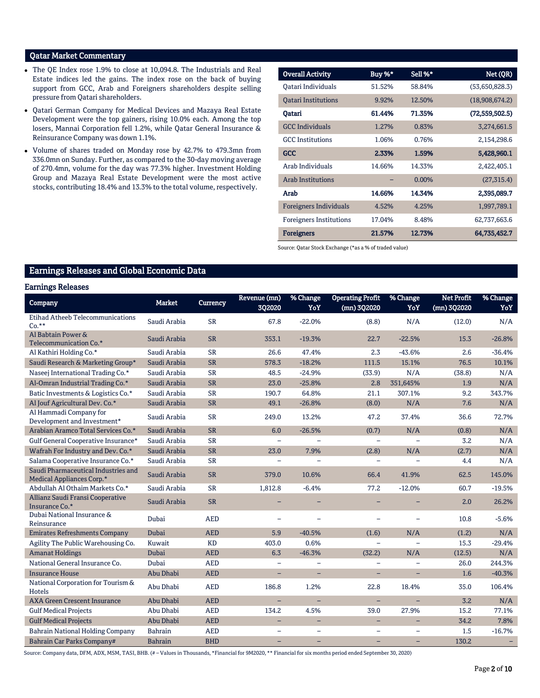### Qatar Market Commentary

- The QE Index rose 1.9% to close at 10,094.8. The Industrials and Real Estate indices led the gains. The index rose on the back of buying support from GCC, Arab and Foreigners shareholders despite selling pressure from Qatari shareholders.
- Qatari German Company for Medical Devices and Mazaya Real Estate Development were the top gainers, rising 10.0% each. Among the top losers, Mannai Corporation fell 1.2%, while Qatar General Insurance & Reinsurance Company was down 1.1%.
- Volume of shares traded on Monday rose by 42.7% to 479.3mn from 336.0mn on Sunday. Further, as compared to the 30-day moving average of 270.4mn, volume for the day was 77.3% higher. Investment Holding Group and Mazaya Real Estate Development were the most active stocks, contributing 18.4% and 13.3% to the total volume, respectively.

| <b>Overall Activity</b>        | Buy %* | Sell %*  | Net (QR)         |
|--------------------------------|--------|----------|------------------|
| Qatari Individuals             | 51.52% | 58.84%   | (53,650,828.3)   |
| <b>Oatari Institutions</b>     | 9.92%  | 12.50%   | (18,908,674.2)   |
| Qatari                         | 61.44% | 71.35%   | (72, 559, 502.5) |
| <b>GCC Individuals</b>         | 1.27%  | 0.83%    | 3,274,661.5      |
| <b>GCC</b> Institutions        | 1.06%  | 0.76%    | 2,154,298.6      |
| <b>GCC</b>                     | 2.33%  | 1.59%    | 5,428,960.1      |
| Arab Individuals               | 14.66% | 14.33%   | 2,422,405.1      |
| <b>Arab Institutions</b>       |        | $0.00\%$ | (27, 315.4)      |
| Arab                           | 14.66% | 14.34%   | 2,395,089.7      |
| Foreigners Individuals         | 4.52%  | 4.25%    | 1,997,789.1      |
| <b>Foreigners Institutions</b> | 17.04% | 8.48%    | 62,737,663.6     |
| <b>Foreigners</b>              | 21.57% | 12.73%   | 64,735,452.7     |

Source: Qatar Stock Exchange (\*as a % of traded value)

## Earnings Releases and Global Economic Data

#### Earnings Releases

| Company                                                          | <b>Market</b>  | <b>Currency</b> | Revenue (mn)<br>302020   | % Change<br>YoY          | <b>Operating Profit</b><br>(mn) 3Q2020 | % Change<br>YoY | <b>Net Profit</b><br>(mn) 3Q2020 | % Change<br>YoY |
|------------------------------------------------------------------|----------------|-----------------|--------------------------|--------------------------|----------------------------------------|-----------------|----------------------------------|-----------------|
| <b>Etihad Atheeb Telecommunications</b><br>$Co.**$               | Saudi Arabia   | <b>SR</b>       | 67.8                     | $-22.0%$                 | (8.8)                                  | N/A             | (12.0)                           | N/A             |
| Al Babtain Power &<br>Telecommunication Co.*                     | Saudi Arabia   | <b>SR</b>       | 353.1                    | $-19.3%$                 | 22.7                                   | $-22.5%$        | 15.3                             | $-26.8%$        |
| Al Kathiri Holding Co.*                                          | Saudi Arabia   | <b>SR</b>       | 26.6                     | 47.4%                    | 2.3                                    | $-43.6%$        | 2.6                              | $-36.4%$        |
| Saudi Research & Marketing Group*                                | Saudi Arabia   | <b>SR</b>       | 578.3                    | $-18.2%$                 | 111.5                                  | 15.1%           | 76.5                             | 10.1%           |
| Naseej International Trading Co.*                                | Saudi Arabia   | <b>SR</b>       | 48.5                     | $-24.9%$                 | (33.9)                                 | N/A             | (38.8)                           | N/A             |
| Al-Omran Industrial Trading Co.*                                 | Saudi Arabia   | <b>SR</b>       | 23.0                     | $-25.8%$                 | 2.8                                    | 351,645%        | 1.9                              | N/A             |
| Batic Investments & Logistics Co.*                               | Saudi Arabia   | <b>SR</b>       | 190.7                    | 64.8%                    | 21.1                                   | 307.1%          | 9.2                              | 343.7%          |
| Al Jouf Agricultural Dev. Co.*                                   | Saudi Arabia   | <b>SR</b>       | 49.1                     | $-26.8%$                 | (8.0)                                  | N/A             | 7.6                              | N/A             |
| Al Hammadi Company for<br>Development and Investment*            | Saudi Arabia   | <b>SR</b>       | 249.0                    | 13.2%                    | 47.2                                   | 37.4%           | 36.6                             | 72.7%           |
| Arabian Aramco Total Services Co.*                               | Saudi Arabia   | <b>SR</b>       | 6.0                      | $-26.5%$                 | (0.7)                                  | N/A             | (0.8)                            | N/A             |
| Gulf General Cooperative Insurance*                              | Saudi Arabia   | <b>SR</b>       | $\equiv$                 |                          | $\equiv$                               |                 | 3.2                              | N/A             |
| Wafrah For Industry and Dev. Co.*                                | Saudi Arabia   | <b>SR</b>       | 23.0                     | 7.9%                     | (2.8)                                  | N/A             | (2.7)                            | N/A             |
| Salama Cooperative Insurance Co.*                                | Saudi Arabia   | <b>SR</b>       |                          |                          |                                        |                 | 4.4                              | N/A             |
| Saudi Pharmaceutical Industries and<br>Medical Appliances Corp.* | Saudi Arabia   | <b>SR</b>       | 379.0                    | 10.6%                    | 66.4                                   | 41.9%           | 62.5                             | 145.0%          |
| Abdullah Al Othaim Markets Co.*                                  | Saudi Arabia   | <b>SR</b>       | 1,812.8                  | $-6.4%$                  | 77.2                                   | $-12.0%$        | 60.7                             | $-19.5%$        |
| Allianz Saudi Fransi Cooperative<br>Insurance Co.*               | Saudi Arabia   | <b>SR</b>       |                          |                          |                                        |                 | 2.0                              | 26.2%           |
| Dubai National Insurance &<br>Reinsurance                        | Dubai          | <b>AED</b>      |                          |                          |                                        |                 | 10.8                             | $-5.6%$         |
| <b>Emirates Refreshments Company</b>                             | Dubai          | <b>AED</b>      | 5.9                      | $-40.5%$                 | (1.6)                                  | N/A             | (1.2)                            | N/A             |
| Agility The Public Warehousing Co.                               | Kuwait         | <b>KD</b>       | 403.0                    | 0.6%                     |                                        |                 | 15.3                             | $-29.4%$        |
| <b>Amanat Holdings</b>                                           | Dubai          | <b>AED</b>      | 6.3                      | $-46.3%$                 | (32.2)                                 | N/A             | (12.5)                           | N/A             |
| National General Insurance Co.                                   | Dubai          | <b>AED</b>      |                          |                          |                                        |                 | 26.0                             | 244.3%          |
| <b>Insurance House</b>                                           | Abu Dhabi      | <b>AED</b>      | ÷                        | $\overline{\phantom{0}}$ |                                        |                 | 1.6                              | $-40.3%$        |
| National Corporation for Tourism &<br>Hotels                     | Abu Dhabi      | <b>AED</b>      | 186.8                    | 1.2%                     | 22.8                                   | 18.4%           | 35.0                             | 106.4%          |
| <b>AXA Green Crescent Insurance</b>                              | Abu Dhabi      | <b>AED</b>      | $\equiv$                 | $\equiv$                 | $\equiv$                               | $\equiv$        | 3.2                              | N/A             |
| <b>Gulf Medical Projects</b>                                     | Abu Dhabi      | <b>AED</b>      | 134.2                    | 4.5%                     | 39.0                                   | 27.9%           | 15.2                             | 77.1%           |
| <b>Gulf Medical Projects</b>                                     | Abu Dhabi      | <b>AED</b>      | $\equiv$                 | $\overline{\phantom{0}}$ | $\overline{\phantom{0}}$               | $\equiv$        | 34.2                             | 7.8%            |
| <b>Bahrain National Holding Company</b>                          | <b>Bahrain</b> | <b>AED</b>      | $\equiv$                 | $\overline{\phantom{0}}$ | $\overline{\phantom{a}}$               |                 | 1.5                              | $-16.7%$        |
| Bahrain Car Parks Company#                                       | <b>Bahrain</b> | <b>BHD</b>      | $\overline{\phantom{0}}$ | -                        |                                        |                 | 130.2                            |                 |

Source: Company data, DFM, ADX, MSM, TASI, BHB. (# – Values in Thousands, \*Financial for 9M2020, \*\* Financial for six months period ended September 30, 2020)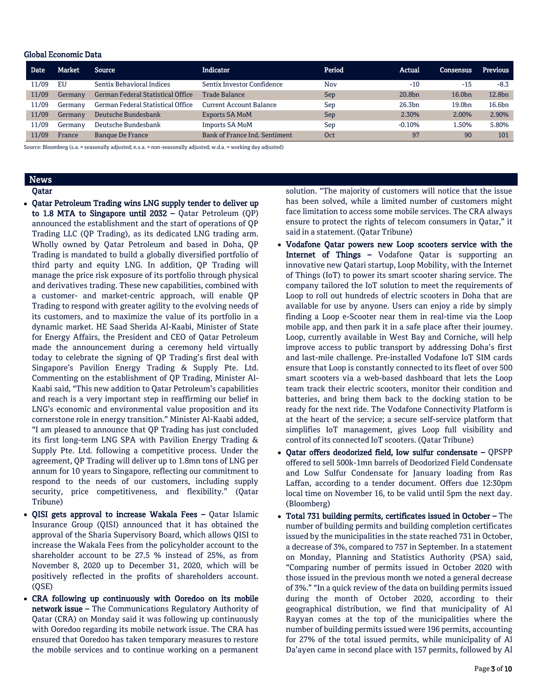#### Global Economic Data

| <b>Date</b> | Market  | <b>Source</b>                            | <b>Indicator</b>              | Period | Actual             | Consensus          | <b>Previous</b> |
|-------------|---------|------------------------------------------|-------------------------------|--------|--------------------|--------------------|-----------------|
| 11/09       | EU      | <b>Sentix Behavioral Indices</b>         | Sentix Investor Confidence    | Nov    | $-10$              | $-15$              | $-8.3$          |
| 11/09       | Germanv | <b>German Federal Statistical Office</b> | <b>Trade Balance</b>          | Sep    | 20.8 <sub>bn</sub> | 16.0 <sub>bn</sub> | 12.8bn          |
| 11/09       | Germanv | German Federal Statistical Office        | Current Account Balance       | Sep    | 26.3bn             | 19.0 <sub>bn</sub> | 16.6bn          |
| 11/09       | Germany | Deutsche Bundesbank                      | <b>Exports SA MoM</b>         | Sep    | 2.30%              | 2.00%              | 2.90%           |
| 11/09       | Germanv | Deutsche Bundesbank                      | <b>Imports SA MoM</b>         | Sep    | $-0.10%$           | 1.50%              | 5.80%           |
| 11/09       | France  | <b>Banque De France</b>                  | Bank of France Ind. Sentiment | Oct    | 97                 | 90                 | 101             |

Source: Bloomberg (s.a. = seasonally adjusted; n.s.a. = non-seasonally adjusted; w.d.a. = working day adjusted)

## News

- Qatar
- Qatar Petroleum Trading wins LNG supply tender to deliver up to 1.8 MTA to Singapore until 2032 - Qatar Petroleum  $(QP)$ announced the establishment and the start of operations of QP Trading LLC (QP Trading), as its dedicated LNG trading arm. Wholly owned by Qatar Petroleum and based in Doha, QP Trading is mandated to build a globally diversified portfolio of third party and equity LNG. In addition, QP Trading will manage the price risk exposure of its portfolio through physical and derivatives trading. These new capabilities, combined with a customer- and market-centric approach, will enable QP Trading to respond with greater agility to the evolving needs of its customers, and to maximize the value of its portfolio in a dynamic market. HE Saad Sherida Al-Kaabi, Minister of State for Energy Affairs, the President and CEO of Qatar Petroleum made the announcement during a ceremony held virtually today to celebrate the signing of QP Trading's first deal with Singapore's Pavilion Energy Trading & Supply Pte. Ltd. Commenting on the establishment of QP Trading, Minister Al-Kaabi said, "This new addition to Qatar Petroleum's capabilities and reach is a very important step in reaffirming our belief in LNG's economic and environmental value proposition and its cornerstone role in energy transition." Minister Al-Kaabi added, "I am pleased to announce that QP Trading has just concluded its first long-term LNG SPA with Pavilion Energy Trading & Supply Pte. Ltd. following a competitive process. Under the agreement, QP Trading will deliver up to 1.8mn tons of LNG per annum for 10 years to Singapore, reflecting our commitment to respond to the needs of our customers, including supply security, price competitiveness, and flexibility." (Qatar Tribune)
- QISI gets approval to increase Wakala Fees Qatar Islamic Insurance Group (QISI) announced that it has obtained the approval of the Sharia Supervisory Board, which allows QISI to increase the Wakala Fees from the policyholder account to the shareholder account to be 27.5 % instead of 25%, as from November 8, 2020 up to December 31, 2020, which will be positively reflected in the profits of shareholders account. (QSE)
- CRA following up continuously with Ooredoo on its mobile network issue – The Communications Regulatory Authority of Qatar (CRA) on Monday said it was following up continuously with Ooredoo regarding its mobile network issue. The CRA has ensured that Ooredoo has taken temporary measures to restore the mobile services and to continue working on a permanent

solution. "The majority of customers will notice that the issue has been solved, while a limited number of customers might face limitation to access some mobile services. The CRA always ensure to protect the rights of telecom consumers in Qatar," it said in a statement. (Qatar Tribune)

- Vodafone Qatar powers new Loop scooters service with the Internet of Things – Vodafone Qatar is supporting an innovative new Qatari startup, Loop Mobility, with the Internet of Things (IoT) to power its smart scooter sharing service. The company tailored the IoT solution to meet the requirements of Loop to roll out hundreds of electric scooters in Doha that are available for use by anyone. Users can enjoy a ride by simply finding a Loop e-Scooter near them in real-time via the Loop mobile app, and then park it in a safe place after their journey. Loop, currently available in West Bay and Corniche, will help improve access to public transport by addressing Doha's first and last-mile challenge. Pre-installed Vodafone IoT SIM cards ensure that Loop is constantly connected to its fleet of over 500 smart scooters via a web-based dashboard that lets the Loop team track their electric scooters, monitor their condition and batteries, and bring them back to the docking station to be ready for the next ride. The Vodafone Connectivity Platform is at the heart of the service; a secure self-service platform that simplifies IoT management, gives Loop full visibility and control of its connected IoT scooters. (Qatar Tribune)
- Oatar offers deodorized field, low sulfur condensate OPSPP offered to sell 500k-1mn barrels of Deodorized Field Condensate and Low Sulfur Condensate for January loading from Ras Laffan, according to a tender document. Offers due 12:30pm local time on November 16, to be valid until 5pm the next day. (Bloomberg)
- Total 731 building permits, certificates issued in October The number of building permits and building completion certificates issued by the municipalities in the state reached 731 in October, a decrease of 3%, compared to 757 in September. In a statement on Monday, Planning and Statistics Authority (PSA) said, "Comparing number of permits issued in October 2020 with those issued in the previous month we noted a general decrease of 3%." "In a quick review of the data on building permits issued during the month of October 2020, according to their geographical distribution, we find that municipality of Al Rayyan comes at the top of the municipalities where the number of building permits issued were 196 permits, accounting for 27% of the total issued permits, while municipality of Al Da'ayen came in second place with 157 permits, followed by Al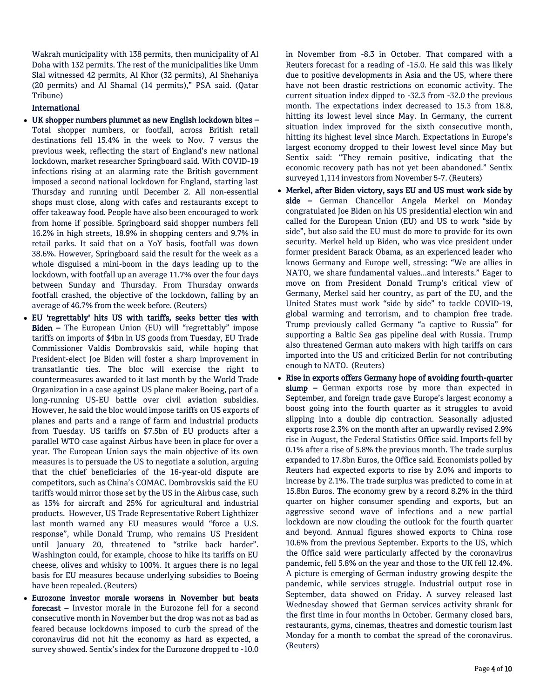Wakrah municipality with 138 permits, then municipality of Al Doha with 132 permits. The rest of the municipalities like Umm Slal witnessed 42 permits, Al Khor (32 permits), Al Shehaniya (20 permits) and Al Shamal (14 permits)," PSA said. (Qatar Tribune)

#### International

- UK shopper numbers plummet as new English lockdown bites Total shopper numbers, or footfall, across British retail destinations fell 15.4% in the week to Nov. 7 versus the previous week, reflecting the start of England's new national lockdown, market researcher Springboard said. With COVID-19 infections rising at an alarming rate the British government imposed a second national lockdown for England, starting last Thursday and running until December 2. All non-essential shops must close, along with cafes and restaurants except to offer takeaway food. People have also been encouraged to work from home if possible. Springboard said shopper numbers fell 16.2% in high streets, 18.9% in shopping centers and 9.7% in retail parks. It said that on a YoY basis, footfall was down 38.6%. However, Springboard said the result for the week as a whole disguised a mini-boom in the days leading up to the lockdown, with footfall up an average 11.7% over the four days between Sunday and Thursday. From Thursday onwards footfall crashed, the objective of the lockdown, falling by an average of 46.7% from the week before. (Reuters)
- EU 'regrettably' hits US with tariffs, seeks better ties with Biden – The European Union (EU) will "regrettably" impose tariffs on imports of \$4bn in US goods from Tuesday, EU Trade Commissioner Valdis Dombrovskis said, while hoping that President-elect Joe Biden will foster a sharp improvement in transatlantic ties. The bloc will exercise the right to countermeasures awarded to it last month by the World Trade Organization in a case against US plane maker Boeing, part of a long-running US-EU battle over civil aviation subsidies. However, he said the bloc would impose tariffs on US exports of planes and parts and a range of farm and industrial products from Tuesday. US tariffs on \$7.5bn of EU products after a parallel WTO case against Airbus have been in place for over a year. The European Union says the main objective of its own measures is to persuade the US to negotiate a solution, arguing that the chief beneficiaries of the 16-year-old dispute are competitors, such as China's COMAC. Dombrovskis said the EU tariffs would mirror those set by the US in the Airbus case, such as 15% for aircraft and 25% for agricultural and industrial products. However, US Trade Representative Robert Lighthizer last month warned any EU measures would "force a U.S. response", while Donald Trump, who remains US President until January 20, threatened to "strike back harder". Washington could, for example, choose to hike its tariffs on EU cheese, olives and whisky to 100%. It argues there is no legal basis for EU measures because underlying subsidies to Boeing have been repealed. (Reuters)
- Eurozone investor morale worsens in November but beats forecast – Investor morale in the Eurozone fell for a second consecutive month in November but the drop was not as bad as feared because lockdowns imposed to curb the spread of the coronavirus did not hit the economy as hard as expected, a survey showed. Sentix's index for the Eurozone dropped to -10.0

in November from -8.3 in October. That compared with a Reuters forecast for a reading of -15.0. He said this was likely due to positive developments in Asia and the US, where there have not been drastic restrictions on economic activity. The current situation index dipped to -32.3 from -32.0 the previous month. The expectations index decreased to 15.3 from 18.8, hitting its lowest level since May. In Germany, the current situation index improved for the sixth consecutive month, hitting its highest level since March. Expectations in Europe's largest economy dropped to their lowest level since May but Sentix said: "They remain positive, indicating that the economic recovery path has not yet been abandoned." Sentix surveyed 1,114 investors from November 5-7. (Reuters)

- Merkel, after Biden victory, says EU and US must work side by side - German Chancellor Angela Merkel on Monday congratulated Joe Biden on his US presidential election win and called for the European Union (EU) and US to work "side by side", but also said the EU must do more to provide for its own security. Merkel held up Biden, who was vice president under former president Barack Obama, as an experienced leader who knows Germany and Europe well, stressing: "We are allies in NATO, we share fundamental values...and interests." Eager to move on from President Donald Trump's critical view of Germany, Merkel said her country, as part of the EU, and the United States must work "side by side" to tackle COVID-19, global warming and terrorism, and to champion free trade. Trump previously called Germany "a captive to Russia" for supporting a Baltic Sea gas pipeline deal with Russia. Trump also threatened German auto makers with high tariffs on cars imported into the US and criticized Berlin for not contributing enough to NATO. (Reuters)
- Rise in exports offers Germany hope of avoiding fourth-quarter slump - German exports rose by more than expected in September, and foreign trade gave Europe's largest economy a boost going into the fourth quarter as it struggles to avoid slipping into a double dip contraction. Seasonally adjusted exports rose 2.3% on the month after an upwardly revised 2.9% rise in August, the Federal Statistics Office said. Imports fell by 0.1% after a rise of 5.8% the previous month. The trade surplus expanded to 17.8bn Euros, the Office said. Economists polled by Reuters had expected exports to rise by 2.0% and imports to increase by 2.1%. The trade surplus was predicted to come in at 15.8bn Euros. The economy grew by a record 8.2% in the third quarter on higher consumer spending and exports, but an aggressive second wave of infections and a new partial lockdown are now clouding the outlook for the fourth quarter and beyond. Annual figures showed exports to China rose 10.6% from the previous September. Exports to the US, which the Office said were particularly affected by the coronavirus pandemic, fell 5.8% on the year and those to the UK fell 12.4%. A picture is emerging of German industry growing despite the pandemic, while services struggle. Industrial output rose in September, data showed on Friday. A survey released last Wednesday showed that German services activity shrank for the first time in four months in October. Germany closed bars, restaurants, gyms, cinemas, theatres and domestic tourism last Monday for a month to combat the spread of the coronavirus. (Reuters)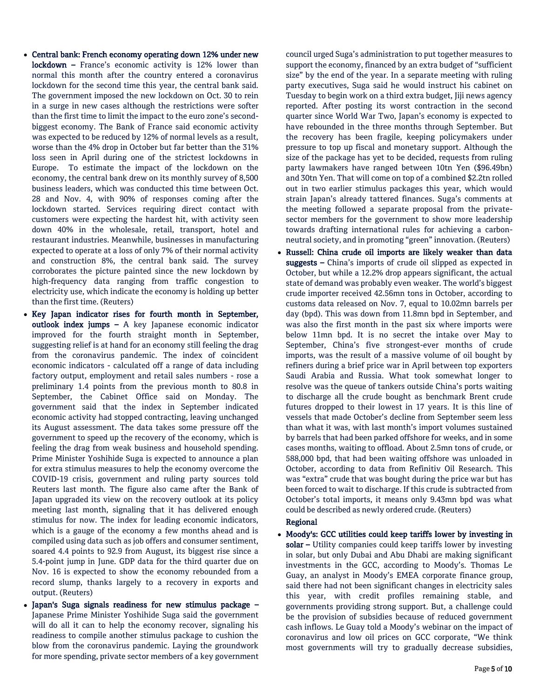- Central bank: French economy operating down 12% under new lockdown – France's economic activity is 12% lower than normal this month after the country entered a coronavirus lockdown for the second time this year, the central bank said. The government imposed the new lockdown on Oct. 30 to rein in a surge in new cases although the restrictions were softer than the first time to limit the impact to the euro zone's secondbiggest economy. The Bank of France said economic activity was expected to be reduced by 12% of normal levels as a result, worse than the 4% drop in October but far better than the 31% loss seen in April during one of the strictest lockdowns in Europe. To estimate the impact of the lockdown on the economy, the central bank drew on its monthly survey of 8,500 business leaders, which was conducted this time between Oct. 28 and Nov. 4, with 90% of responses coming after the lockdown started. Services requiring direct contact with customers were expecting the hardest hit, with activity seen down 40% in the wholesale, retail, transport, hotel and restaurant industries. Meanwhile, businesses in manufacturing expected to operate at a loss of only 7% of their normal activity and construction 8%, the central bank said. The survey corroborates the picture painted since the new lockdown by high-frequency data ranging from traffic congestion to electricity use, which indicate the economy is holding up better than the first time. (Reuters)
- Key Japan indicator rises for fourth month in September, outlook index jumps – A key Japanese economic indicator improved for the fourth straight month in September, suggesting relief is at hand for an economy still feeling the drag from the coronavirus pandemic. The index of coincident economic indicators - calculated off a range of data including factory output, employment and retail sales numbers - rose a preliminary 1.4 points from the previous month to 80.8 in September, the Cabinet Office said on Monday. The government said that the index in September indicated economic activity had stopped contracting, leaving unchanged its August assessment. The data takes some pressure off the government to speed up the recovery of the economy, which is feeling the drag from weak business and household spending. Prime Minister Yoshihide Suga is expected to announce a plan for extra stimulus measures to help the economy overcome the COVID-19 crisis, government and ruling party sources told Reuters last month. The figure also came after the Bank of Japan upgraded its view on the recovery outlook at its policy meeting last month, signaling that it has delivered enough stimulus for now. The index for leading economic indicators, which is a gauge of the economy a few months ahead and is compiled using data such as job offers and consumer sentiment, soared 4.4 points to 92.9 from August, its biggest rise since a 5.4-point jump in June. GDP data for the third quarter due on Nov. 16 is expected to show the economy rebounded from a record slump, thanks largely to a recovery in exports and output. (Reuters)
- Japan's Suga signals readiness for new stimulus package Japanese Prime Minister Yoshihide Suga said the government will do all it can to help the economy recover, signaling his readiness to compile another stimulus package to cushion the blow from the coronavirus pandemic. Laying the groundwork for more spending, private sector members of a key government

council urged Suga's administration to put together measures to support the economy, financed by an extra budget of "sufficient size" by the end of the year. In a separate meeting with ruling party executives, Suga said he would instruct his cabinet on Tuesday to begin work on a third extra budget, Jiji news agency reported. After posting its worst contraction in the second quarter since World War Two, Japan's economy is expected to have rebounded in the three months through September. But the recovery has been fragile, keeping policymakers under pressure to top up fiscal and monetary support. Although the size of the package has yet to be decided, requests from ruling party lawmakers have ranged between 10tn Yen (\$96.49bn) and 30tn Yen. That will come on top of a combined \$2.2tn rolled out in two earlier stimulus packages this year, which would strain Japan's already tattered finances. Suga's comments at the meeting followed a separate proposal from the privatesector members for the government to show more leadership towards drafting international rules for achieving a carbonneutral society, and in promoting "green" innovation. (Reuters)

 Russell: China crude oil imports are likely weaker than data suggests – China's imports of crude oil slipped as expected in October, but while a 12.2% drop appears significant, the actual state of demand was probably even weaker. The world's biggest crude importer received 42.56mn tons in October, according to customs data released on Nov. 7, equal to 10.02mn barrels per day (bpd). This was down from 11.8mn bpd in September, and was also the first month in the past six where imports were below 11mn bpd. It is no secret the intake over May to September, China's five strongest-ever months of crude imports, was the result of a massive volume of oil bought by refiners during a brief price war in April between top exporters Saudi Arabia and Russia. What took somewhat longer to resolve was the queue of tankers outside China's ports waiting to discharge all the crude bought as benchmark Brent crude futures dropped to their lowest in 17 years. It is this line of vessels that made October's decline from September seem less than what it was, with last month's import volumes sustained by barrels that had been parked offshore for weeks, and in some cases months, waiting to offload. About 2.5mn tons of crude, or 588,000 bpd, that had been waiting offshore was unloaded in October, according to data from Refinitiv Oil Research. This was "extra" crude that was bought during the price war but has been forced to wait to discharge. If this crude is subtracted from October's total imports, it means only 9.43mn bpd was what could be described as newly ordered crude. (Reuters)

### Regional

 Moody's: GCC utilities could keep tariffs lower by investing in solar – Utility companies could keep tariffs lower by investing in solar, but only Dubai and Abu Dhabi are making significant investments in the GCC, according to Moody's. Thomas Le Guay, an analyst in Moody's EMEA corporate finance group, said there had not been significant changes in electricity sales this year, with credit profiles remaining stable, and governments providing strong support. But, a challenge could be the provision of subsidies because of reduced government cash inflows. Le Guay told a Moody's webinar on the impact of coronavirus and low oil prices on GCC corporate, "We think most governments will try to gradually decrease subsidies,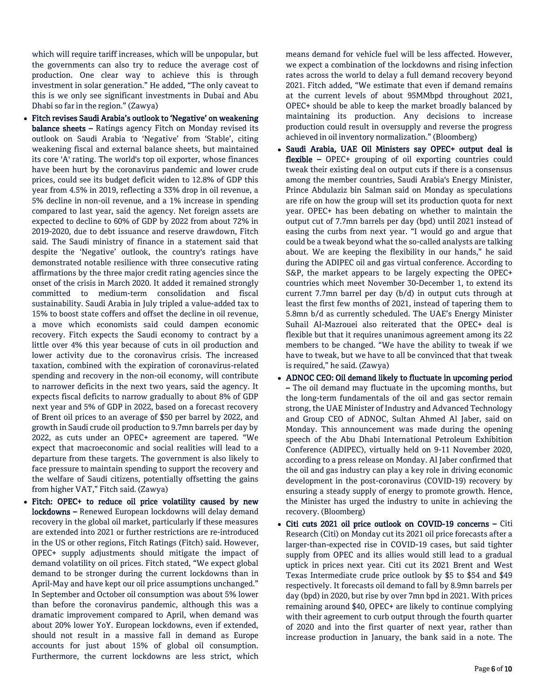which will require tariff increases, which will be unpopular, but the governments can also try to reduce the average cost of production. One clear way to achieve this is through investment in solar generation." He added, "The only caveat to this is we only see significant investments in Dubai and Abu Dhabi so far in the region." (Zawya)

- Fitch revises Saudi Arabia's outlook to 'Negative' on weakening balance sheets – Ratings agency Fitch on Monday revised its outlook on Saudi Arabia to 'Negative' from 'Stable', citing weakening fiscal and external balance sheets, but maintained its core 'A' rating. The world's top oil exporter, whose finances have been hurt by the coronavirus pandemic and lower crude prices, could see its budget deficit widen to 12.8% of GDP this year from 4.5% in 2019, reflecting a 33% drop in oil revenue, a 5% decline in non-oil revenue, and a 1% increase in spending compared to last year, said the agency. Net foreign assets are expected to decline to 60% of GDP by 2022 from about 72% in 2019-2020, due to debt issuance and reserve drawdown, Fitch said. The Saudi ministry of finance in a statement said that despite the 'Negative' outlook, the country's ratings have demonstrated notable resilience with three consecutive rating affirmations by the three major credit rating agencies since the onset of the crisis in March 2020. It added it remained strongly committed to medium-term consolidation and fiscal sustainability. Saudi Arabia in July tripled a value-added tax to 15% to boost state coffers and offset the decline in oil revenue, a move which economists said could dampen economic recovery. Fitch expects the Saudi economy to contract by a little over 4% this year because of cuts in oil production and lower activity due to the coronavirus crisis. The increased taxation, combined with the expiration of coronavirus-related spending and recovery in the non-oil economy, will contribute to narrower deficits in the next two years, said the agency. It expects fiscal deficits to narrow gradually to about 8% of GDP next year and 5% of GDP in 2022, based on a forecast recovery of Brent oil prices to an average of \$50 per barrel by 2022, and growth in Saudi crude oil production to 9.7mn barrels per day by 2022, as cuts under an OPEC+ agreement are tapered. "We expect that macroeconomic and social realities will lead to a departure from these targets. The government is also likely to face pressure to maintain spending to support the recovery and the welfare of Saudi citizens, potentially offsetting the gains from higher VAT," Fitch said. (Zawya)
- Fitch: OPEC+ to reduce oil price volatility caused by new lockdowns – Renewed European lockdowns will delay demand recovery in the global oil market, particularly if these measures are extended into 2021 or further restrictions are re-introduced in the US or other regions, Fitch Ratings (Fitch) said. However, OPEC+ supply adjustments should mitigate the impact of demand volatility on oil prices. Fitch stated, "We expect global demand to be stronger during the current lockdowns than in April-May and have kept our oil price assumptions unchanged." In September and October oil consumption was about 5% lower than before the coronavirus pandemic, although this was a dramatic improvement compared to April, when demand was about 20% lower YoY. European lockdowns, even if extended, should not result in a massive fall in demand as Europe accounts for just about 15% of global oil consumption. Furthermore, the current lockdowns are less strict, which

means demand for vehicle fuel will be less affected. However, we expect a combination of the lockdowns and rising infection rates across the world to delay a full demand recovery beyond 2021. Fitch added, "We estimate that even if demand remains at the current levels of about 95MMbpd throughout 2021, OPEC+ should be able to keep the market broadly balanced by maintaining its production. Any decisions to increase production could result in oversupply and reverse the progress achieved in oil inventory normalization." (Bloomberg)

- Saudi Arabia, UAE Oil Ministers say OPEC+ output deal is flexible – OPEC+ grouping of oil exporting countries could tweak their existing deal on output cuts if there is a consensus among the member countries, Saudi Arabia's Energy Minister, Prince Abdulaziz bin Salman said on Monday as speculations are rife on how the group will set its production quota for next year. OPEC+ has been debating on whether to maintain the output cut of 7.7mn barrels per day (bpd) until 2021 instead of easing the curbs from next year. "I would go and argue that could be a tweak beyond what the so-called analysts are talking about. We are keeping the flexibility in our hands," he said during the ADIPEC oil and gas virtual conference. According to S&P, the market appears to be largely expecting the OPEC+ countries which meet November 30-December 1, to extend its current 7.7mn barrel per day (b/d) in output cuts through at least the first few months of 2021, instead of tapering them to 5.8mn b/d as currently scheduled. The UAE's Energy Minister Suhail Al-Mazrouei also reiterated that the OPEC+ deal is flexible but that it requires unanimous agreement among its 22 members to be changed. "We have the ability to tweak if we have to tweak, but we have to all be convinced that that tweak is required," he said. (Zawya)
- ADNOC CEO: Oil demand likely to fluctuate in upcoming period – The oil demand may fluctuate in the upcoming months, but the long-term fundamentals of the oil and gas sector remain strong, the UAE Minister of Industry and Advanced Technology and Group CEO of ADNOC, Sultan Ahmed Al Jaber, said on Monday. This announcement was made during the opening speech of the Abu Dhabi International Petroleum Exhibition Conference (ADIPEC), virtually held on 9-11 November 2020, according to a press release on Monday. Al Jaber confirmed that the oil and gas industry can play a key role in driving economic development in the post-coronavirus (COVID-19) recovery by ensuring a steady supply of energy to promote growth. Hence, the Minister has urged the industry to unite in achieving the recovery. (Bloomberg)
- Citi cuts 2021 oil price outlook on COVID-19 concerns Citi Research (Citi) on Monday cut its 2021 oil price forecasts after a larger-than-expected rise in COVID-19 cases, but said tighter supply from OPEC and its allies would still lead to a gradual uptick in prices next year. Citi cut its 2021 Brent and West Texas Intermediate crude price outlook by \$5 to \$54 and \$49 respectively. It forecasts oil demand to fall by 8.9mn barrels per day (bpd) in 2020, but rise by over 7mn bpd in 2021. With prices remaining around \$40, OPEC+ are likely to continue complying with their agreement to curb output through the fourth quarter of 2020 and into the first quarter of next year, rather than increase production in January, the bank said in a note. The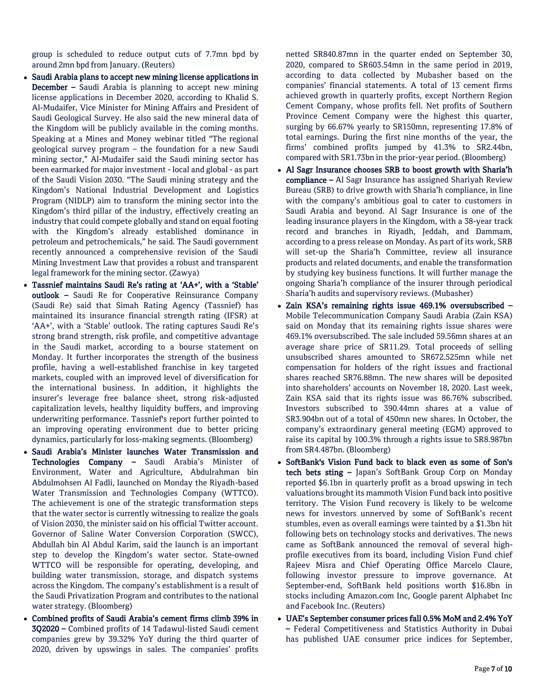group is scheduled to reduce output cuts of 7.7mn bpd by around 2mn bpd from January. (Reuters)

- Saudi Arabia plans to accept new mining license applications in December – Saudi Arabia is planning to accept new mining license applications in December 2020, according to Khalid S. Al-Mudaifer, Vice Minister for Mining Affairs and President of Saudi Geological Survey. He also said the new mineral data of the Kingdom will be publicly available in the coming months. Speaking at a Mines and Money webinar titled "The regional geological survey program – the foundation for a new Saudi mining sector," Al-Mudaifer said the Saudi mining sector has been earmarked for major investment - local and global - as part of the Saudi Vision 2030. "The Saudi mining strategy and the Kingdom's National Industrial Development and Logistics Program (NIDLP) aim to transform the mining sector into the Kingdom's third pillar of the industry, effectively creating an industry that could compete globally and stand on equal footing with the Kingdom's already established dominance in petroleum and petrochemicals," he said. The Saudi government recently announced a comprehensive revision of the Saudi Mining Investment Law that provides a robust and transparent legal framework for the mining sector. (Zawya)
- Tassnief maintains Saudi Re's rating at 'AA+', with a 'Stable' outlook – Saudi Re for Cooperative Reinsurance Company (Saudi Re) said that Simah Rating Agency (Tassnief) has maintained its insurance financial strength rating (IFSR) at 'AA+', with a 'Stable' outlook. The rating captures Saudi Re's strong brand strength, risk profile, and competitive advantage in the Saudi market, according to a bourse statement on Monday. It further incorporates the strength of the business profile, having a well-established franchise in key targeted markets, coupled with an improved level of diversification for the international business. In addition, it highlights the insurer's leverage free balance sheet, strong risk-adjusted capitalization levels, healthy liquidity buffers, and improving underwriting performance. Tassnief's report further pointed to an improving operating environment due to better pricing dynamics, particularly for loss-making segments. (Bloomberg)
- Saudi Arabia's Minister launches Water Transmission and Technologies Company - Saudi Arabia's Minister of Environment, Water and Agriculture, Abdulrahman bin Abdulmohsen Al Fadli, launched on Monday the Riyadh-based Water Transmission and Technologies Company (WTTCO). The achievement is one of the strategic transformation steps that the water sector is currently witnessing to realize the goals of Vision 2030, the minister said on his official Twitter account. Governor of Saline Water Conversion Corporation (SWCC), Abdullah bin Al Abdul Karim, said the launch is an important step to develop the Kingdom's water sector. State-owned WTTCO will be responsible for operating, developing, and building water transmission, storage, and dispatch systems across the Kingdom. The company's establishment is a result of the Saudi Privatization Program and contributes to the national water strategy. (Bloomberg)
- Combined profits of Saudi Arabia's cement firms climb 39% in 3Q2020 – Combined profits of 14 Tadawul-listed Saudi cement companies grew by 39.32% YoY during the third quarter of 2020, driven by upswings in sales. The companies' profits

netted SR840.87mn in the quarter ended on September 30, 2020, compared to SR603.54mn in the same period in 2019, according to data collected by Mubasher based on the companies' financial statements. A total of 13 cement firms achieved growth in quarterly profits, except Northern Region Cement Company, whose profits fell. Net profits of Southern Province Cement Company were the highest this quarter, surging by 66.67% yearly to SR150mn, representing 17.8% of total earnings. During the first nine months of the year, the firms' combined profits jumped by 41.3% to SR2.44bn, compared with SR1.73bn in the prior-year period. (Bloomberg)

- Al Sagr Insurance chooses SRB to boost growth with Sharia'h compliance – Al Sagr Insurance has assigned Shariyah Review Bureau (SRB) to drive growth with Sharia'h compliance, in line with the company's ambitious goal to cater to customers in Saudi Arabia and beyond. Al Sagr Insurance is one of the leading insurance players in the Kingdom, with a 38-year track record and branches in Riyadh, Jeddah, and Dammam, according to a press release on Monday. As part of its work, SRB will set-up the Sharia'h Committee, review all insurance products and related documents, and enable the transformation by studying key business functions. It will further manage the ongoing Sharia'h compliance of the insurer through periodical Sharia'h audits and supervisory reviews. (Mubasher)
- Zain KSA's remaining rights issue 469.1% oversubscribed Mobile Telecommunication Company Saudi Arabia (Zain KSA) said on Monday that its remaining rights issue shares were 469.1% oversubscribed. The sale included 59.56mn shares at an average share price of SR11.29. Total proceeds of selling unsubscribed shares amounted to SR672.525mn while net compensation for holders of the right issues and fractional shares reached SR76.88mn. The new shares will be deposited into shareholders' accounts on November 18, 2020. Last week, Zain KSA said that its rights issue was 86.76% subscribed. Investors subscribed to 390.44mn shares at a value of SR3.904bn out of a total of 450mn new shares. In October, the company's extraordinary general meeting (EGM) approved to raise its capital by 100.3% through a rights issue to SR8.987bn from SR4.487bn. (Bloomberg)
- SoftBank's Vision Fund back to black even as some of Son's tech bets sting - Japan's SoftBank Group Corp on Monday reported \$6.1bn in quarterly profit as a broad upswing in tech valuations brought its mammoth Vision Fund back into positive territory. The Vision Fund recovery is likely to be welcome news for investors unnerved by some of SoftBank's recent stumbles, even as overall earnings were tainted by a \$1.3bn hit following bets on technology stocks and derivatives. The news came as SoftBank announced the removal of several highprofile executives from its board, including Vision Fund chief Rajeev Misra and Chief Operating Office Marcelo Claure, following investor pressure to improve governance. At September-end, SoftBank held positions worth \$16.8bn in stocks including Amazon.com Inc, Google parent Alphabet Inc and Facebook Inc. (Reuters)
- UAE's September consumer prices fall 0.5% MoM and 2.4% YoY – Federal Competitiveness and Statistics Authority in Dubai has published UAE consumer price indices for September,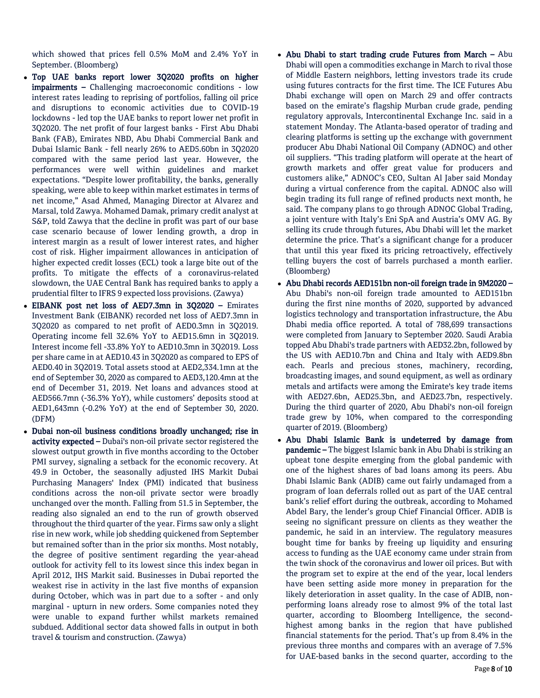which showed that prices fell 0.5% MoM and 2.4% YoY in September. (Bloomberg)

- Top UAE banks report lower 3Q2020 profits on higher impairments – Challenging macroeconomic conditions - low interest rates leading to reprising of portfolios, falling oil price and disruptions to economic activities due to COVID-19 lockdowns - led top the UAE banks to report lower net profit in 3Q2020. The net profit of four largest banks - First Abu Dhabi Bank (FAB), Emirates NBD, Abu Dhabi Commercial Bank and Dubai Islamic Bank - fell nearly 26% to AED5.60bn in 3Q2020 compared with the same period last year. However, the performances were well within guidelines and market expectations. "Despite lower profitability, the banks, generally speaking, were able to keep within market estimates in terms of net income," Asad Ahmed, Managing Director at Alvarez and Marsal, told Zawya. Mohamed Damak, primary credit analyst at S&P, told Zawya that the decline in profit was part of our base case scenario because of lower lending growth, a drop in interest margin as a result of lower interest rates, and higher cost of risk. Higher impairment allowances in anticipation of higher expected credit losses (ECL) took a large bite out of the profits. To mitigate the effects of a coronavirus-related slowdown, the UAE Central Bank has required banks to apply a prudential filter to IFRS 9 expected loss provisions. (Zawya)
- EIBANK post net loss of AED7.3mn in 3Q2020 Emirates Investment Bank (EIBANK) recorded net loss of AED7.3mn in 3Q2020 as compared to net profit of AED0.3mn in 3Q2019. Operating income fell 32.6% YoY to AED15.6mn in 3Q2019. Interest income fell -33.8% YoY to AED10.3mn in 3Q2019. Loss per share came in at AED10.43 in 3Q2020 as compared to EPS of AED0.40 in 3Q2019. Total assets stood at AED2,334.1mn at the end of September 30, 2020 as compared to AED3,120.4mn at the end of December 31, 2019. Net loans and advances stood at AED566.7mn (-36.3% YoY), while customers' deposits stood at AED1,643mn (-0.2% YoY) at the end of September 30, 2020. (DFM)
- Dubai non-oil business conditions broadly unchanged; rise in activity expected - Dubai's non-oil private sector registered the slowest output growth in five months according to the October PMI survey, signaling a setback for the economic recovery. At 49.9 in October, the seasonally adjusted IHS Markit Dubai Purchasing Managers' Index (PMI) indicated that business conditions across the non-oil private sector were broadly unchanged over the month. Falling from 51.5 in September, the reading also signaled an end to the run of growth observed throughout the third quarter of the year. Firms saw only a slight rise in new work, while job shedding quickened from September but remained softer than in the prior six months. Most notably, the degree of positive sentiment regarding the year-ahead outlook for activity fell to its lowest since this index began in April 2012, IHS Markit said. Businesses in Dubai reported the weakest rise in activity in the last five months of expansion during October, which was in part due to a softer - and only marginal - upturn in new orders. Some companies noted they were unable to expand further whilst markets remained subdued. Additional sector data showed falls in output in both travel & tourism and construction. (Zawya)
- Abu Dhabi to start trading crude Futures from March Abu Dhabi will open a commodities exchange in March to rival those of Middle Eastern neighbors, letting investors trade its crude using futures contracts for the first time. The ICE Futures Abu Dhabi exchange will open on March 29 and offer contracts based on the emirate's flagship Murban crude grade, pending regulatory approvals, Intercontinental Exchange Inc. said in a statement Monday. The Atlanta-based operator of trading and clearing platforms is setting up the exchange with government producer Abu Dhabi National Oil Company (ADNOC) and other oil suppliers. "This trading platform will operate at the heart of growth markets and offer great value for producers and customers alike," ADNOC's CEO, Sultan Al Jaber said Monday during a virtual conference from the capital. ADNOC also will begin trading its full range of refined products next month, he said. The company plans to go through ADNOC Global Trading, a joint venture with Italy's Eni SpA and Austria's OMV AG. By selling its crude through futures, Abu Dhabi will let the market determine the price. That's a significant change for a producer that until this year fixed its pricing retroactively, effectively telling buyers the cost of barrels purchased a month earlier. (Bloomberg)
- Abu Dhabi records AED151bn non-oil foreign trade in 9M2020 Abu Dhabi's non-oil foreign trade amounted to AED151bn during the first nine months of 2020, supported by advanced logistics technology and transportation infrastructure, the Abu Dhabi media office reported. A total of 788,699 transactions were completed from January to September 2020. Saudi Arabia topped Abu Dhabi's trade partners with AED32.2bn, followed by the US with AED10.7bn and China and Italy with AED9.8bn each. Pearls and precious stones, machinery, recording, broadcasting images, and sound equipment, as well as ordinary metals and artifacts were among the Emirate's key trade items with AED27.6bn, AED25.3bn, and AED23.7bn, respectively. During the third quarter of 2020, Abu Dhabi's non-oil foreign trade grew by 10%, when compared to the corresponding quarter of 2019. (Bloomberg)
- Abu Dhabi Islamic Bank is undeterred by damage from pandemic - The biggest Islamic bank in Abu Dhabi is striking an upbeat tone despite emerging from the global pandemic with one of the highest shares of bad loans among its peers. Abu Dhabi Islamic Bank (ADIB) came out fairly undamaged from a program of loan deferrals rolled out as part of the UAE central bank's relief effort during the outbreak, according to Mohamed Abdel Bary, the lender's group Chief Financial Officer. ADIB is seeing no significant pressure on clients as they weather the pandemic, he said in an interview. The regulatory measures bought time for banks by freeing up liquidity and ensuring access to funding as the UAE economy came under strain from the twin shock of the coronavirus and lower oil prices. But with the program set to expire at the end of the year, local lenders have been setting aside more money in preparation for the likely deterioration in asset quality. In the case of ADIB, nonperforming loans already rose to almost 9% of the total last quarter, according to Bloomberg Intelligence, the secondhighest among banks in the region that have published financial statements for the period. That's up from 8.4% in the previous three months and compares with an average of 7.5% for UAE-based banks in the second quarter, according to the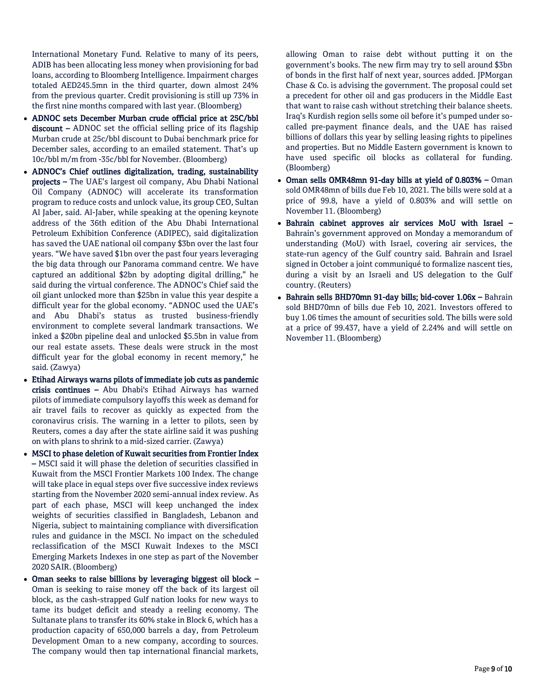International Monetary Fund. Relative to many of its peers, ADIB has been allocating less money when provisioning for bad loans, according to Bloomberg Intelligence. Impairment charges totaled AED245.5mn in the third quarter, down almost 24% from the previous quarter. Credit provisioning is still up 73% in the first nine months compared with last year. (Bloomberg)

- ADNOC sets December Murban crude official price at 25C/bbl discount – ADNOC set the official selling price of its flagship Murban crude at 25c/bbl discount to Dubai benchmark price for December sales, according to an emailed statement. That's up 10c/bbl m/m from -35c/bbl for November. (Bloomberg)
- ADNOC's Chief outlines digitalization, trading, sustainability projects – The UAE's largest oil company, Abu Dhabi National Oil Company (ADNOC) will accelerate its transformation program to reduce costs and unlock value, its group CEO, Sultan Al Jaber, said. Al-Jaber, while speaking at the opening keynote address of the 36th edition of the Abu Dhabi International Petroleum Exhibition Conference (ADIPEC), said digitalization has saved the UAE national oil company \$3bn over the last four years. "We have saved \$1bn over the past four years leveraging the big data through our Panorama command centre. We have captured an additional \$2bn by adopting digital drilling," he said during the virtual conference. The ADNOC's Chief said the oil giant unlocked more than \$25bn in value this year despite a difficult year for the global economy. "ADNOC used the UAE's and Abu Dhabi's status as trusted business-friendly environment to complete several landmark transactions. We inked a \$20bn pipeline deal and unlocked \$5.5bn in value from our real estate assets. These deals were struck in the most difficult year for the global economy in recent memory," he said. (Zawya)
- Etihad Airways warns pilots of immediate job cuts as pandemic crisis continues – Abu Dhabi's Etihad Airways has warned pilots of immediate compulsory layoffs this week as demand for air travel fails to recover as quickly as expected from the coronavirus crisis. The warning in a letter to pilots, seen by Reuters, comes a day after the state airline said it was pushing on with plans to shrink to a mid-sized carrier. (Zawya)
- MSCI to phase deletion of Kuwait securities from Frontier Index – MSCI said it will phase the deletion of securities classified in Kuwait from the MSCI Frontier Markets 100 Index. The change will take place in equal steps over five successive index reviews starting from the November 2020 semi-annual index review. As part of each phase, MSCI will keep unchanged the index weights of securities classified in Bangladesh, Lebanon and Nigeria, subject to maintaining compliance with diversification rules and guidance in the MSCI. No impact on the scheduled reclassification of the MSCI Kuwait Indexes to the MSCI Emerging Markets Indexes in one step as part of the November 2020 SAIR. (Bloomberg)
- Oman seeks to raise billions by leveraging biggest oil block Oman is seeking to raise money off the back of its largest oil block, as the cash-strapped Gulf nation looks for new ways to tame its budget deficit and steady a reeling economy. The Sultanate plans to transfer its 60% stake in Block 6, which has a production capacity of 650,000 barrels a day, from Petroleum Development Oman to a new company, according to sources. The company would then tap international financial markets,

allowing Oman to raise debt without putting it on the government's books. The new firm may try to sell around \$3bn of bonds in the first half of next year, sources added. JPMorgan Chase & Co. is advising the government. The proposal could set a precedent for other oil and gas producers in the Middle East that want to raise cash without stretching their balance sheets. Iraq's Kurdish region sells some oil before it's pumped under socalled pre-payment finance deals, and the UAE has raised billions of dollars this year by selling leasing rights to pipelines and properties. But no Middle Eastern government is known to have used specific oil blocks as collateral for funding. (Bloomberg)

- Oman sells OMR48mn 91-day bills at yield of 0.803% Oman sold OMR48mn of bills due Feb 10, 2021. The bills were sold at a price of 99.8, have a yield of 0.803% and will settle on November 11. (Bloomberg)
- Bahrain cabinet approves air services MoU with Israel Bahrain's government approved on Monday a memorandum of understanding (MoU) with Israel, covering air services, the state-run agency of the Gulf country said. Bahrain and Israel signed in October a joint communiqué to formalize nascent ties, during a visit by an Israeli and US delegation to the Gulf country. (Reuters)
- Bahrain sells BHD70mn 91-day bills; bid-cover 1.06x Bahrain sold BHD70mn of bills due Feb 10, 2021. Investors offered to buy 1.06 times the amount of securities sold. The bills were sold at a price of 99.437, have a yield of 2.24% and will settle on November 11. (Bloomberg)